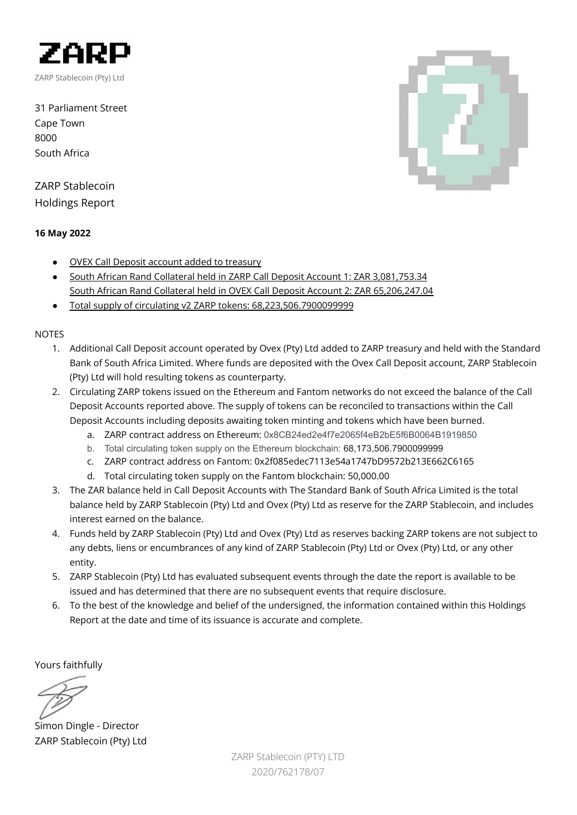

31 Parliament Street Cape Town 8000 South Africa

# ZARP Stablecoin Holdings Report

## **16 May 2022**

- OVEX Call Deposit account added to treasury
- South African Rand Collateral held in ZARP Call Deposit Account 1: ZAR 3,081,753.34 South African Rand Collateral held in OVEX Call Deposit Account 2: ZAR 65,206,247.04
- Total supply of circulating v2 ZARP tokens: 68,223,506.7900099999

## NOTES

- 1. Additional Call Deposit account operated by Ovex (Pty) Ltd added to ZARP treasury and held with the Standard Bank of South Africa Limited. Where funds are deposited with the Ovex Call Deposit account, ZARP Stablecoin (Pty) Ltd will hold resulting tokens as counterparty.
- 2. Circulating ZARP tokens issued on the Ethereum and Fantom networks do not exceed the balance of the Call Deposit Accounts reported above. The supply of tokens can be reconciled to transactions within the Call Deposit Accounts including deposits awaiting token minting and tokens which have been burned.
	- a. ZARP contract address on Ethereum: 0x8CB24ed2e4f7e2065f4eB2bE5f6B0064B1919850
	- b. Total circulating token supply on the Ethereum blockchain: 68,173,506.7900099999
	- c. ZARP contract address on Fantom: 0x2f085edec7113e54a1747bD9572b213E662C6165
	- d. Total circulating token supply on the Fantom blockchain: 50,000.00
- 3. The ZAR balance held in Call Deposit Accounts with The Standard Bank of South Africa Limited is the total balance held by ZARP Stablecoin (Pty) Ltd and Ovex (Pty) Ltd as reserve for the ZARP Stablecoin, and includes interest earned on the balance.
- 4. Funds held by ZARP Stablecoin (Pty) Ltd and Ovex (Pty) Ltd as reserves backing ZARP tokens are not subject to any debts, liens or encumbrances of any kind of ZARP Stablecoin (Pty) Ltd or Ovex (Pty) Ltd, or any other entity.
- 5. ZARP Stablecoin (Pty) Ltd has evaluated subsequent events through the date the report is available to be issued and has determined that there are no subsequent events that require disclosure.
- 6. To the best of the knowledge and belief of the undersigned, the information contained within this Holdings Report at the date and time of its issuance is accurate and complete.

Yours faithfully

Simon Dingle - Director ZARP Stablecoin (Pty) Ltd

ZARP Stablecoin (PTY) LTD 2020/762178/07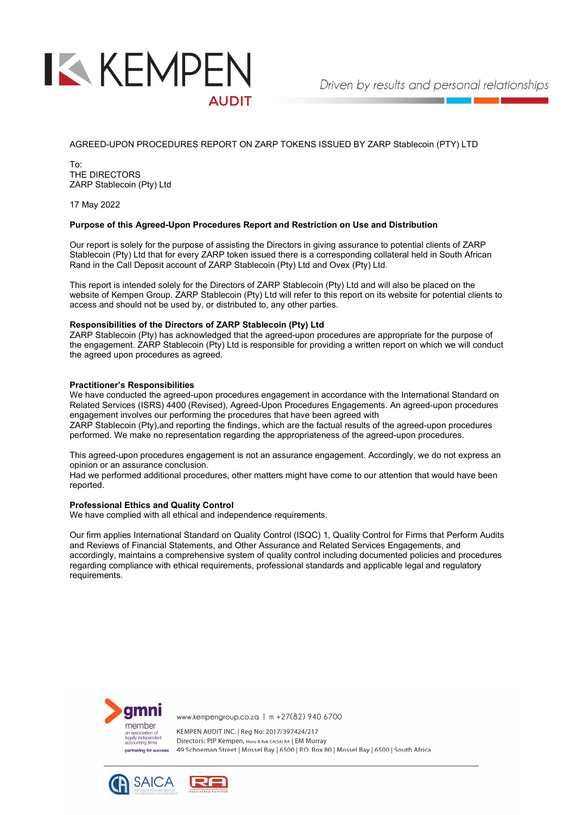

AGREED-UPON PROCEDURES REPORT ON ZARP TOKENS ISSUED BY ZARP Stablecoin (PTY) LTD

To: THE DIRECTORS ZARP Stablecoin (Pty) Ltd

17 May 2022

#### Purpose of this Agreed-Upon Procedures Report and Restriction on Use and Distribution

Our report is solely for the purpose of assisting the Directors in giving assurance to potential clients of ZARP Stablecoin (Pty) Ltd that for every ZARP token issued there is a corresponding collateral held in South African Rand in the Call Deposit account of ZARP Stablecoin (Pty) Ltd and Ovex (Pty) Ltd.

This report is intended solely for the Directors of ZARP Stablecoin (Pty) Ltd and will also be placed on the website of Kempen Group. ZARP Stablecoin (Pty) Ltd will refer to this report on its website for potential clients to access and should not be used by, or distributed to, any other parties.

### Responsibilities of the Directors of ZARP Stablecoin (Pty) Ltd

ZARP Stablecoin (Pty) has acknowledged that the agreed-upon procedures are appropriate for the purpose of the engagement. ZARP Stablecoin (Pty) Ltd is responsible for providing a written report on which we will conduct the agreed upon procedures as agreed.

#### Practitioner's Responsibilities

We have conducted the agreed-upon procedures engagement in accordance with the International Standard on Related Services (ISRS) 4400 (Revised), Agreed-Upon Procedures Engagements. An agreed-upon procedures engagement involves our performing the procedures that have been agreed with

ZARP Stablecoin (Pty),and reporting the findings, which are the factual results of the agreed-upon procedures performed. We make no representation regarding the appropriateness of the agreed-upon procedures.

This agreed-upon procedures engagement is not an assurance engagement. Accordingly, we do not express an opinion or an assurance conclusion.

Had we performed additional procedures, other matters might have come to our attention that would have been reported.

### Professional Ethics and Quality Control

We have complied with all ethical and independence requirements.

Our firm applies International Standard on Quality Control (ISQC) 1, Quality Control for Firms that Perform Audits and Reviews of Financial Statements, and Other Assurance and Related Services Engagements, and accordingly, maintains a comprehensive system of quality control including documented policies and procedures regarding compliance with ethical requirements, professional standards and applicable legal and regulatory requirements.



www.kempengroup.co.za | m +27(82) 940 6700

KEMPEN AUDIT INC. | Reg No: 2017/397424/217 Directors: PIP Kempen, Hons B Rek CA(SA) RA | EM Murray 49 Schoeman Street | Mossel Bay | 6500 | P.O. Box 80 | Mossel Bay | 6500 | South Africa